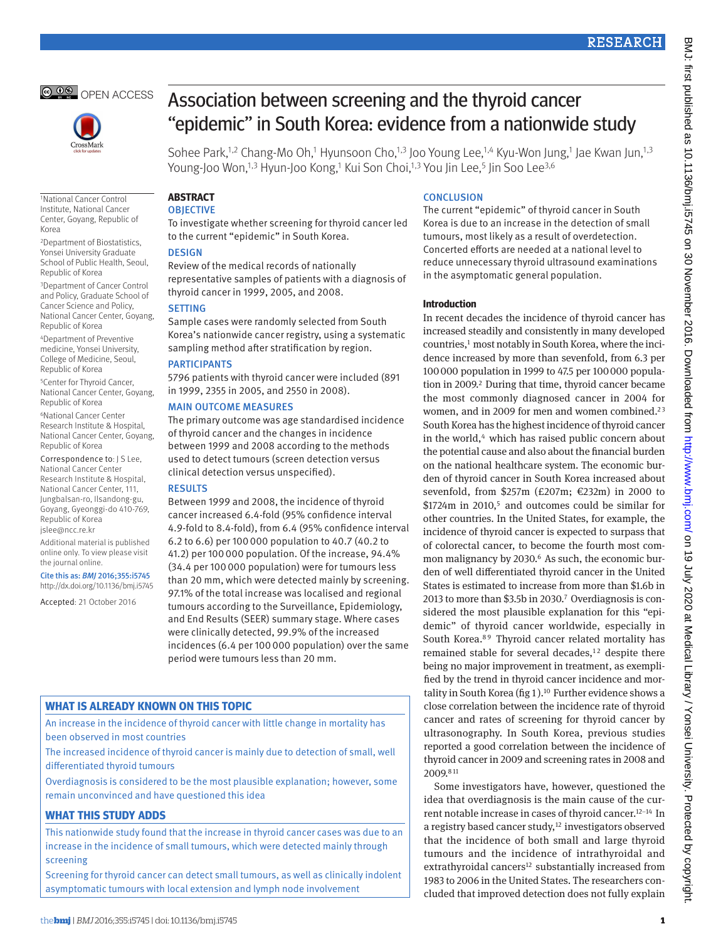



1National Cancer Control Institute, National Cancer Center, Goyang, Republic of Korea

2Department of Biostatistics, Yonsei University Graduate School of Public Health, Seoul, Republic of Korea

3Department of Cancer Control and Policy, Graduate School of Cancer Science and Policy, National Cancer Center, Goyang, Republic of Korea

4Department of Preventive medicine, Yonsei University, College of Medicine, Seoul, Republic of Korea

5Center for Thyroid Cancer, National Cancer Center, Goyang, Republic of Korea

6National Cancer Center Research Institute & Hospital, National Cancer Center, Goyang, Republic of Korea

Correspondence to: J S Lee, National Cancer Center Research Institute & Hospital, National Cancer Center, 111, Jungbalsan-ro, Ilsandong-gu, Goyang, Gyeonggi-do 410-769, Republic of Korea jslee@ncc.re.kr

Additional material is published online only. To view please visit the journal online.

Cite this as: *BMJ* 2016;355:i5745 http://dx.doi.org/10.1136/bmj.i5745

Accepted: 21 October 2016

# Association between screening and the thyroid cancer "epidemic" in South Korea: evidence from a nationwide study

Sohee Park,<sup>1,2</sup> Chang-Mo Oh,<sup>1</sup> Hyunsoon Cho,<sup>1,3</sup> Joo Young Lee,<sup>1,4</sup> Kyu-Won Jung,<sup>1</sup> Jae Kwan Jun,<sup>1,3</sup> Young-Joo Won,<sup>1,3</sup> Hyun-Joo Kong,<sup>1</sup> Kui Son Choi,<sup>1,3</sup> You Jin Lee,<sup>5</sup> Jin Soo Lee<sup>3,6</sup>

## **ABSTRACT**

## **OBJECTIVE**

To investigate whether screening for thyroid cancer led to the current "epidemic" in South Korea.

#### **DESIGN**

Review of the medical records of nationally representative samples of patients with a diagnosis of thyroid cancer in 1999, 2005, and 2008.

#### **SETTING**

Sample cases were randomly selected from South Korea's nationwide cancer registry, using a systematic sampling method after stratification by region.

#### PARTICIPANTS

5796 patients with thyroid cancer were included (891 in 1999, 2355 in 2005, and 2550 in 2008).

#### MAIN OUTCOME MEASURES

The primary outcome was age standardised incidence of thyroid cancer and the changes in incidence between 1999 and 2008 according to the methods used to detect tumours (screen detection versus clinical detection versus unspecified).

#### **RESULTS**

Between 1999 and 2008, the incidence of thyroid cancer increased 6.4-fold (95% confidence interval 4.9-fold to 8.4-fold), from 6.4 (95% confidence interval 6.2 to 6.6) per 100000 population to 40.7 (40.2 to 41.2) per 100000 population. Of the increase, 94.4% (34.4 per 100000 population) were for tumours less than 20 mm, which were detected mainly by screening. 97.1% of the total increase was localised and regional tumours according to the Surveillance, Epidemiology, and End Results (SEER) summary stage. Where cases were clinically detected, 99.9% of the increased incidences (6.4 per 100 000 population) over the same period were tumours less than 20 mm.

## **WHAT IS ALREADY KNOWN ON THIS TOPIC**

An increase in the incidence of thyroid cancer with little change in mortality has been observed in most countries

The increased incidence of thyroid cancer is mainly due to detection of small, well differentiated thyroid tumours

Overdiagnosis is considered to be the most plausible explanation; however, some remain unconvinced and have questioned this idea

## **WHAT THIS STUDY ADDS**

This nationwide study found that the increase in thyroid cancer cases was due to an increase in the incidence of small tumours, which were detected mainly through screening

Screening for thyroid cancer can detect small tumours, as well as clinically indolent asymptomatic tumours with local extension and lymph node involvement

## **CONCLUSION**

The current "epidemic" of thyroid cancer in South Korea is due to an increase in the detection of small tumours, most likely as a result of overdetection. Concerted efforts are needed at a national level to reduce unnecessary thyroid ultrasound examinations in the asymptomatic general population.

#### **Introduction**

In recent decades the incidence of thyroid cancer has increased steadily and consistently in many developed countries,<sup>1</sup> most notably in South Korea, where the incidence increased by more than sevenfold, from 6.3 per 100000 population in 1999 to 47.5 per 100000 population in 2009.<sup>2</sup> During that time, thyroid cancer became the most commonly diagnosed cancer in 2004 for women, and in 2009 for men and women combined. $2<sup>3</sup>$ South Korea has the highest incidence of thyroid cancer in the world,<sup>4</sup> which has raised public concern about the potential cause and also about the financial burden on the national healthcare system. The economic burden of thyroid cancer in South Korea increased about sevenfold, from \$257m (£207m; €232m) in 2000 to  $$1724m$  in 2010.<sup>5</sup> and outcomes could be similar for other countries. In the United States, for example, the incidence of thyroid cancer is expected to surpass that of colorectal cancer, to become the fourth most common malignancy by 2030.<sup>6</sup> As such, the economic burden of well differentiated thyroid cancer in the United States is estimated to increase from more than \$1.6b in 2013 to more than \$3.5b in 2030.7 Overdiagnosis is considered the most plausible explanation for this "epidemic" of thyroid cancer worldwide, especially in South Korea.<sup>89</sup> Thyroid cancer related mortality has remained stable for several decades, $12$  despite there being no major improvement in treatment, as exemplified by the trend in thyroid cancer incidence and mortality in South Korea (fig  $1$ ).<sup>10</sup> Further evidence shows a close correlation between the incidence rate of thyroid cancer and rates of screening for thyroid cancer by ultrasonography. In South Korea, previous studies reported a good correlation between the incidence of thyroid cancer in 2009 and screening rates in 2008 and 2009.8 <sup>11</sup>

Some investigators have, however, questioned the idea that overdiagnosis is the main cause of the current notable increase in cases of thyroid cancer.12–14 In a registry based cancer study,<sup>12</sup> investigators observed that the incidence of both small and large thyroid tumours and the incidence of intrathyroidal and extrathyroidal cancers<sup>12</sup> substantially increased from 1983 to 2006 in the United States. The researchers concluded that improved detection does not fully explain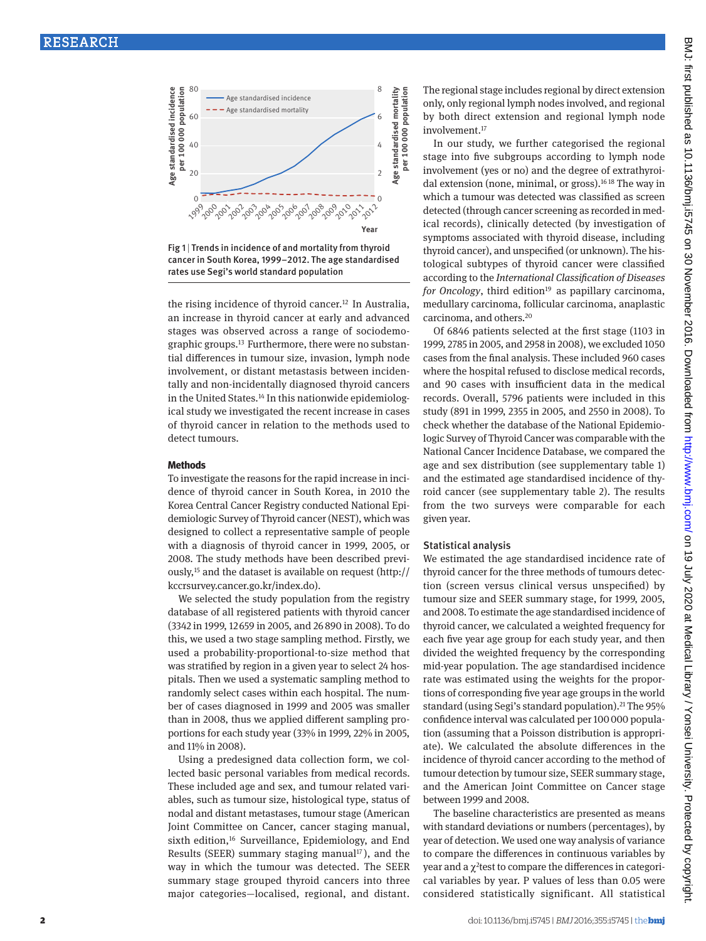

Fig 1 | Trends in incidence of and mortality from thyroid cancer in South Korea, 1999–2012. The age standardised rates use Segi's world standard population

the rising incidence of thyroid cancer.12 In Australia, an increase in thyroid cancer at early and advanced stages was observed across a range of sociodemographic groups.13 Furthermore, there were no substantial differences in tumour size, invasion, lymph node involvement, or distant metastasis between incidentally and non-incidentally diagnosed thyroid cancers in the United States.14 In this nationwide epidemiological study we investigated the recent increase in cases of thyroid cancer in relation to the methods used to detect tumours.

#### **Methods**

To investigate the reasons for the rapid increase in incidence of thyroid cancer in South Korea, in 2010 the Korea Central Cancer Registry conducted National Epidemiologic Survey of Thyroid cancer (NEST), which was designed to collect a representative sample of people with a diagnosis of thyroid cancer in 1999, 2005, or 2008. The study methods have been described previously,15 and the dataset is available on request (http:// kccrsurvey.cancer.go.kr/index.do).

We selected the study population from the registry database of all registered patients with thyroid cancer (3342 in 1999, 12659 in 2005, and 26890 in 2008). To do this, we used a two stage sampling method. Firstly, we used a probability-proportional-to-size method that was stratified by region in a given year to select 24 hospitals. Then we used a systematic sampling method to randomly select cases within each hospital. The number of cases diagnosed in 1999 and 2005 was smaller than in 2008, thus we applied different sampling proportions for each study year (33% in 1999, 22% in 2005, and 11% in 2008).

Using a predesigned data collection form, we collected basic personal variables from medical records. These included age and sex, and tumour related variables, such as tumour size, histological type, status of nodal and distant metastases, tumour stage (American Joint Committee on Cancer, cancer staging manual, sixth edition,<sup>16</sup> Surveillance, Epidemiology, and End Results (SEER) summary staging manual<sup>17</sup>), and the way in which the tumour was detected. The SEER summary stage grouped thyroid cancers into three major categories—localised, regional, and distant.

The regional stage includes regional by direct extension only, only regional lymph nodes involved, and regional by both direct extension and regional lymph node involvement.17

In our study, we further categorised the regional stage into five subgroups according to lymph node involvement (yes or no) and the degree of extrathyroidal extension (none, minimal, or gross).<sup>1618</sup> The way in which a tumour was detected was classified as screen detected (through cancer screening as recorded in medical records), clinically detected (by investigation of symptoms associated with thyroid disease, including thyroid cancer), and unspecified (or unknown). The histological subtypes of thyroid cancer were classified according to the *International Classification of Diseases for Oncology*, third edition<sup>19</sup> as papillary carcinoma, medullary carcinoma, follicular carcinoma, anaplastic carcinoma, and others.20

Of 6846 patients selected at the first stage (1103 in 1999, 2785 in 2005, and 2958 in 2008), we excluded 1050 cases from the final analysis. These included 960 cases where the hospital refused to disclose medical records, and 90 cases with insufficient data in the medical records. Overall, 5796 patients were included in this study (891 in 1999, 2355 in 2005, and 2550 in 2008). To check whether the database of the National Epidemiologic Survey of Thyroid Cancer was comparable with the National Cancer Incidence Database, we compared the age and sex distribution (see supplementary table 1) and the estimated age standardised incidence of thyroid cancer (see supplementary table 2). The results from the two surveys were comparable for each given year.

#### Statistical analysis

We estimated the age standardised incidence rate of thyroid cancer for the three methods of tumours detection (screen versus clinical versus unspecified) by tumour size and SEER summary stage, for 1999, 2005, and 2008. To estimate the age standardised incidence of thyroid cancer, we calculated a weighted frequency for each five year age group for each study year, and then divided the weighted frequency by the corresponding mid-year population. The age standardised incidence rate was estimated using the weights for the proportions of corresponding five year age groups in the world standard (using Segi's standard population).<sup>21</sup> The 95% confidence interval was calculated per 100000 population (assuming that a Poisson distribution is appropriate). We calculated the absolute differences in the incidence of thyroid cancer according to the method of tumour detection by tumour size, SEER summary stage, and the American Joint Committee on Cancer stage between 1999 and 2008.

The baseline characteristics are presented as means with standard deviations or numbers (percentages), by year of detection. We used one way analysis of variance to compare the differences in continuous variables by year and a  $\chi^2$ test to compare the differences in categorical variables by year. P values of less than 0.05 were considered statistically significant. All statistical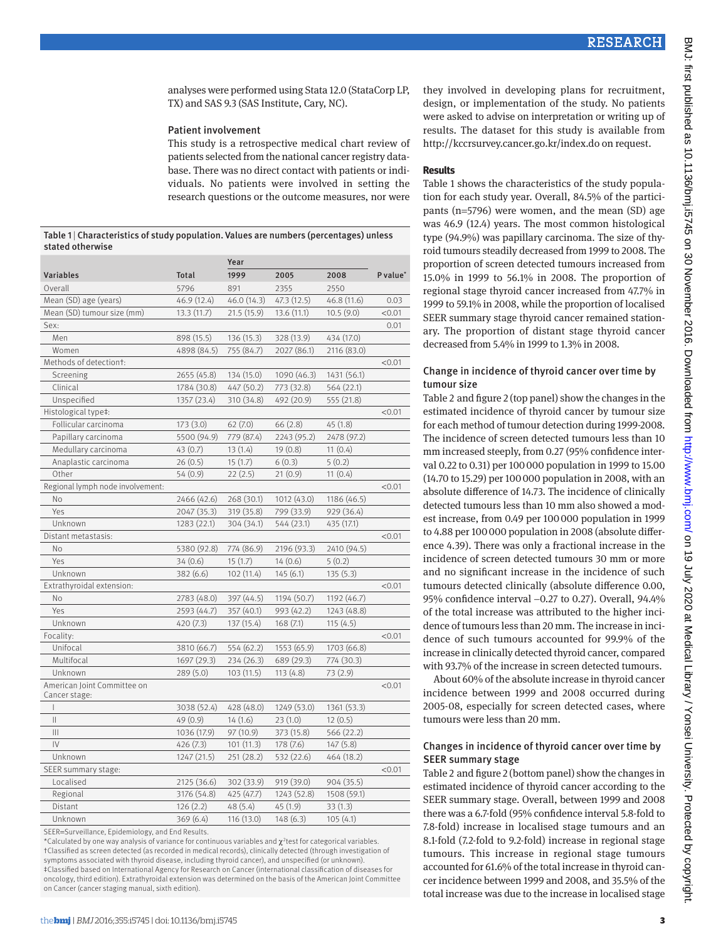analyses were performed using Stata 12.0 (StataCorp LP, TX) and SAS 9.3 (SAS Institute, Cary, NC).

#### Patient involvement

This study is a retrospective medical chart review of patients selected from the national cancer registry database. There was no direct contact with patients or individuals. No patients were involved in setting the research questions or the outcome measures, nor were

#### Table 1 | Characteristics of study population. Values are numbers (percentages) unless stated otherwise

| <b>Variables</b><br><b>Total</b><br>1999<br>2005<br>2008<br>P value <sup>*</sup><br>Overall<br>5796<br>891<br>2355<br>2550<br>46.0 (14.3)<br>Mean (SD) age (years)<br>46.9 (12.4)<br>47.3(12.5)<br>46.8 (11.6)<br>0.03<br>Mean (SD) tumour size (mm)<br>13.3(11.7)<br>10.5(9.0)<br>21.5(15.9)<br>13.6(11.1)<br>< 0.01<br>Sex:<br>0.01<br>898 (15.5)<br>136 (15.3)<br>328 (13.9)<br>434 (17.0)<br>Men<br>Women<br>4898 (84.5)<br>755 (84.7)<br>2027 (86.1)<br>2116 (83.0)<br>Methods of detectiont:<br>< 0.01<br>2655 (45.8)<br>134 (15.0)<br>1090 (46.3)<br>1431 (56.1)<br>Screening<br>Clinical<br>1784 (30.8)<br>447 (50.2)<br>773 (32.8)<br>564 (22.1)<br>Unspecified<br>1357 (23.4)<br>310 (34.8)<br>492 (20.9)<br>555 (21.8)<br>Histological type‡:<br>< 0.01<br>Follicular carcinoma<br>173(3.0)<br>62(7.0)<br>66(2.8)<br>45(1.8)<br>Papillary carcinoma<br>5500 (94.9)<br>779 (87.4)<br>2243 (95.2)<br>2478 (97.2)<br>Medullary carcinoma<br>43(0.7)<br>13(1.4)<br>19(0.8)<br>11(0.4)<br>Anaplastic carcinoma<br>26(0.5)<br>15(1.7)<br>6(0.3)<br>5(0.2)<br>Other<br>54 (0.9)<br>22(2.5)<br>21(0.9)<br>11(0.4)<br>Regional lymph node involvement:<br>< 0.01<br>No<br>2466 (42.6)<br>268(30.1)<br>1012 (43.0)<br>1186 (46.5)<br>Yes<br>2047 (35.3)<br>319 (35.8)<br>799 (33.9)<br>929 (36.4)<br>Unknown<br>1283 (22.1)<br>304 (34.1)<br>544 (23.1)<br>435 (17.1)<br>Distant metastasis:<br>< 0.01<br>No<br>5380 (92.8)<br>774 (86.9)<br>2196 (93.3)<br>2410 (94.5)<br>Yes<br>34(0.6)<br>15(1.7)<br>14(0.6)<br>5(0.2)<br>382 (6.6)<br>102 (11.4)<br>145(6.1)<br>135(5.3)<br>Unknown<br>Extrathyroidal extension:<br>< 0.01<br>No<br>2783 (48.0)<br>397 (44.5)<br>1194 (50.7)<br>1192 (46.7)<br>Yes<br>2593 (44.7)<br>357 (40.1)<br>993 (42.2)<br>1243 (48.8)<br>Unknown<br>137 (15.4)<br>168(7.1)<br>420 (7.3)<br>115(4.5)<br>< 0.01<br>Focality:<br>Unifocal<br>3810 (66.7)<br>1703 (66.8)<br>554 (62.2)<br>1553 (65.9)<br>Multifocal<br>1697 (29.3)<br>689 (29.3)<br>234 (26.3)<br>774 (30.3)<br>Unknown<br>73 (2.9)<br>289(5.0)<br>103 (11.5)<br>113(4.8)<br>American Joint Committee on<br>< 0.01<br>Cancer stage:<br>3038 (52.4)<br>428 (48.0)<br>1361 (53.3)<br>$\overline{\phantom{a}}$<br>1249 (53.0)<br>$\parallel$<br>49 (0.9)<br>14(1.6)<br>23(1.0)<br>12(0.5)<br>$\mathbf{III}$<br>1036 (17.9)<br>97 (10.9)<br>373 (15.8)<br>566 (22.2)<br>$\mathsf{IV}$<br>426 (7.3)<br>101(11.3)<br>178(7.6)<br>147(5.8)<br>Unknown<br>1247 (21.5)<br>251 (28.2)<br>532 (22.6)<br>464 (18.2)<br>SEER summary stage:<br>< 0.01<br>Localised<br>2125 (36.6)<br>302 (33.9)<br>919 (39.0)<br>904 (35.5)<br>3176 (54.8)<br>Regional<br>425 (47.7)<br>1243 (52.8)<br>1508 (59.1)<br>126(2.2)<br>48(5.4)<br>45(1.9)<br>33(1.3)<br>Distant<br>369 (6.4)<br>148(6.3)<br>105(4.1)<br>Unknown<br>116 (13.0) |  | Year |  |  |
|-----------------------------------------------------------------------------------------------------------------------------------------------------------------------------------------------------------------------------------------------------------------------------------------------------------------------------------------------------------------------------------------------------------------------------------------------------------------------------------------------------------------------------------------------------------------------------------------------------------------------------------------------------------------------------------------------------------------------------------------------------------------------------------------------------------------------------------------------------------------------------------------------------------------------------------------------------------------------------------------------------------------------------------------------------------------------------------------------------------------------------------------------------------------------------------------------------------------------------------------------------------------------------------------------------------------------------------------------------------------------------------------------------------------------------------------------------------------------------------------------------------------------------------------------------------------------------------------------------------------------------------------------------------------------------------------------------------------------------------------------------------------------------------------------------------------------------------------------------------------------------------------------------------------------------------------------------------------------------------------------------------------------------------------------------------------------------------------------------------------------------------------------------------------------------------------------------------------------------------------------------------------------------------------------------------------------------------------------------------------------------------------------------------------------------------------------------------------------------------------------------------------------------------------------------------------------------------------------------------------------------------------------------------------------------------------------------------------------------------------------------------------------------------------------------|--|------|--|--|
|                                                                                                                                                                                                                                                                                                                                                                                                                                                                                                                                                                                                                                                                                                                                                                                                                                                                                                                                                                                                                                                                                                                                                                                                                                                                                                                                                                                                                                                                                                                                                                                                                                                                                                                                                                                                                                                                                                                                                                                                                                                                                                                                                                                                                                                                                                                                                                                                                                                                                                                                                                                                                                                                                                                                                                                                     |  |      |  |  |
|                                                                                                                                                                                                                                                                                                                                                                                                                                                                                                                                                                                                                                                                                                                                                                                                                                                                                                                                                                                                                                                                                                                                                                                                                                                                                                                                                                                                                                                                                                                                                                                                                                                                                                                                                                                                                                                                                                                                                                                                                                                                                                                                                                                                                                                                                                                                                                                                                                                                                                                                                                                                                                                                                                                                                                                                     |  |      |  |  |
|                                                                                                                                                                                                                                                                                                                                                                                                                                                                                                                                                                                                                                                                                                                                                                                                                                                                                                                                                                                                                                                                                                                                                                                                                                                                                                                                                                                                                                                                                                                                                                                                                                                                                                                                                                                                                                                                                                                                                                                                                                                                                                                                                                                                                                                                                                                                                                                                                                                                                                                                                                                                                                                                                                                                                                                                     |  |      |  |  |
|                                                                                                                                                                                                                                                                                                                                                                                                                                                                                                                                                                                                                                                                                                                                                                                                                                                                                                                                                                                                                                                                                                                                                                                                                                                                                                                                                                                                                                                                                                                                                                                                                                                                                                                                                                                                                                                                                                                                                                                                                                                                                                                                                                                                                                                                                                                                                                                                                                                                                                                                                                                                                                                                                                                                                                                                     |  |      |  |  |
|                                                                                                                                                                                                                                                                                                                                                                                                                                                                                                                                                                                                                                                                                                                                                                                                                                                                                                                                                                                                                                                                                                                                                                                                                                                                                                                                                                                                                                                                                                                                                                                                                                                                                                                                                                                                                                                                                                                                                                                                                                                                                                                                                                                                                                                                                                                                                                                                                                                                                                                                                                                                                                                                                                                                                                                                     |  |      |  |  |
|                                                                                                                                                                                                                                                                                                                                                                                                                                                                                                                                                                                                                                                                                                                                                                                                                                                                                                                                                                                                                                                                                                                                                                                                                                                                                                                                                                                                                                                                                                                                                                                                                                                                                                                                                                                                                                                                                                                                                                                                                                                                                                                                                                                                                                                                                                                                                                                                                                                                                                                                                                                                                                                                                                                                                                                                     |  |      |  |  |
|                                                                                                                                                                                                                                                                                                                                                                                                                                                                                                                                                                                                                                                                                                                                                                                                                                                                                                                                                                                                                                                                                                                                                                                                                                                                                                                                                                                                                                                                                                                                                                                                                                                                                                                                                                                                                                                                                                                                                                                                                                                                                                                                                                                                                                                                                                                                                                                                                                                                                                                                                                                                                                                                                                                                                                                                     |  |      |  |  |
|                                                                                                                                                                                                                                                                                                                                                                                                                                                                                                                                                                                                                                                                                                                                                                                                                                                                                                                                                                                                                                                                                                                                                                                                                                                                                                                                                                                                                                                                                                                                                                                                                                                                                                                                                                                                                                                                                                                                                                                                                                                                                                                                                                                                                                                                                                                                                                                                                                                                                                                                                                                                                                                                                                                                                                                                     |  |      |  |  |
|                                                                                                                                                                                                                                                                                                                                                                                                                                                                                                                                                                                                                                                                                                                                                                                                                                                                                                                                                                                                                                                                                                                                                                                                                                                                                                                                                                                                                                                                                                                                                                                                                                                                                                                                                                                                                                                                                                                                                                                                                                                                                                                                                                                                                                                                                                                                                                                                                                                                                                                                                                                                                                                                                                                                                                                                     |  |      |  |  |
|                                                                                                                                                                                                                                                                                                                                                                                                                                                                                                                                                                                                                                                                                                                                                                                                                                                                                                                                                                                                                                                                                                                                                                                                                                                                                                                                                                                                                                                                                                                                                                                                                                                                                                                                                                                                                                                                                                                                                                                                                                                                                                                                                                                                                                                                                                                                                                                                                                                                                                                                                                                                                                                                                                                                                                                                     |  |      |  |  |
|                                                                                                                                                                                                                                                                                                                                                                                                                                                                                                                                                                                                                                                                                                                                                                                                                                                                                                                                                                                                                                                                                                                                                                                                                                                                                                                                                                                                                                                                                                                                                                                                                                                                                                                                                                                                                                                                                                                                                                                                                                                                                                                                                                                                                                                                                                                                                                                                                                                                                                                                                                                                                                                                                                                                                                                                     |  |      |  |  |
|                                                                                                                                                                                                                                                                                                                                                                                                                                                                                                                                                                                                                                                                                                                                                                                                                                                                                                                                                                                                                                                                                                                                                                                                                                                                                                                                                                                                                                                                                                                                                                                                                                                                                                                                                                                                                                                                                                                                                                                                                                                                                                                                                                                                                                                                                                                                                                                                                                                                                                                                                                                                                                                                                                                                                                                                     |  |      |  |  |
|                                                                                                                                                                                                                                                                                                                                                                                                                                                                                                                                                                                                                                                                                                                                                                                                                                                                                                                                                                                                                                                                                                                                                                                                                                                                                                                                                                                                                                                                                                                                                                                                                                                                                                                                                                                                                                                                                                                                                                                                                                                                                                                                                                                                                                                                                                                                                                                                                                                                                                                                                                                                                                                                                                                                                                                                     |  |      |  |  |
|                                                                                                                                                                                                                                                                                                                                                                                                                                                                                                                                                                                                                                                                                                                                                                                                                                                                                                                                                                                                                                                                                                                                                                                                                                                                                                                                                                                                                                                                                                                                                                                                                                                                                                                                                                                                                                                                                                                                                                                                                                                                                                                                                                                                                                                                                                                                                                                                                                                                                                                                                                                                                                                                                                                                                                                                     |  |      |  |  |
|                                                                                                                                                                                                                                                                                                                                                                                                                                                                                                                                                                                                                                                                                                                                                                                                                                                                                                                                                                                                                                                                                                                                                                                                                                                                                                                                                                                                                                                                                                                                                                                                                                                                                                                                                                                                                                                                                                                                                                                                                                                                                                                                                                                                                                                                                                                                                                                                                                                                                                                                                                                                                                                                                                                                                                                                     |  |      |  |  |
|                                                                                                                                                                                                                                                                                                                                                                                                                                                                                                                                                                                                                                                                                                                                                                                                                                                                                                                                                                                                                                                                                                                                                                                                                                                                                                                                                                                                                                                                                                                                                                                                                                                                                                                                                                                                                                                                                                                                                                                                                                                                                                                                                                                                                                                                                                                                                                                                                                                                                                                                                                                                                                                                                                                                                                                                     |  |      |  |  |
|                                                                                                                                                                                                                                                                                                                                                                                                                                                                                                                                                                                                                                                                                                                                                                                                                                                                                                                                                                                                                                                                                                                                                                                                                                                                                                                                                                                                                                                                                                                                                                                                                                                                                                                                                                                                                                                                                                                                                                                                                                                                                                                                                                                                                                                                                                                                                                                                                                                                                                                                                                                                                                                                                                                                                                                                     |  |      |  |  |
|                                                                                                                                                                                                                                                                                                                                                                                                                                                                                                                                                                                                                                                                                                                                                                                                                                                                                                                                                                                                                                                                                                                                                                                                                                                                                                                                                                                                                                                                                                                                                                                                                                                                                                                                                                                                                                                                                                                                                                                                                                                                                                                                                                                                                                                                                                                                                                                                                                                                                                                                                                                                                                                                                                                                                                                                     |  |      |  |  |
|                                                                                                                                                                                                                                                                                                                                                                                                                                                                                                                                                                                                                                                                                                                                                                                                                                                                                                                                                                                                                                                                                                                                                                                                                                                                                                                                                                                                                                                                                                                                                                                                                                                                                                                                                                                                                                                                                                                                                                                                                                                                                                                                                                                                                                                                                                                                                                                                                                                                                                                                                                                                                                                                                                                                                                                                     |  |      |  |  |
|                                                                                                                                                                                                                                                                                                                                                                                                                                                                                                                                                                                                                                                                                                                                                                                                                                                                                                                                                                                                                                                                                                                                                                                                                                                                                                                                                                                                                                                                                                                                                                                                                                                                                                                                                                                                                                                                                                                                                                                                                                                                                                                                                                                                                                                                                                                                                                                                                                                                                                                                                                                                                                                                                                                                                                                                     |  |      |  |  |
|                                                                                                                                                                                                                                                                                                                                                                                                                                                                                                                                                                                                                                                                                                                                                                                                                                                                                                                                                                                                                                                                                                                                                                                                                                                                                                                                                                                                                                                                                                                                                                                                                                                                                                                                                                                                                                                                                                                                                                                                                                                                                                                                                                                                                                                                                                                                                                                                                                                                                                                                                                                                                                                                                                                                                                                                     |  |      |  |  |
|                                                                                                                                                                                                                                                                                                                                                                                                                                                                                                                                                                                                                                                                                                                                                                                                                                                                                                                                                                                                                                                                                                                                                                                                                                                                                                                                                                                                                                                                                                                                                                                                                                                                                                                                                                                                                                                                                                                                                                                                                                                                                                                                                                                                                                                                                                                                                                                                                                                                                                                                                                                                                                                                                                                                                                                                     |  |      |  |  |
|                                                                                                                                                                                                                                                                                                                                                                                                                                                                                                                                                                                                                                                                                                                                                                                                                                                                                                                                                                                                                                                                                                                                                                                                                                                                                                                                                                                                                                                                                                                                                                                                                                                                                                                                                                                                                                                                                                                                                                                                                                                                                                                                                                                                                                                                                                                                                                                                                                                                                                                                                                                                                                                                                                                                                                                                     |  |      |  |  |
|                                                                                                                                                                                                                                                                                                                                                                                                                                                                                                                                                                                                                                                                                                                                                                                                                                                                                                                                                                                                                                                                                                                                                                                                                                                                                                                                                                                                                                                                                                                                                                                                                                                                                                                                                                                                                                                                                                                                                                                                                                                                                                                                                                                                                                                                                                                                                                                                                                                                                                                                                                                                                                                                                                                                                                                                     |  |      |  |  |
|                                                                                                                                                                                                                                                                                                                                                                                                                                                                                                                                                                                                                                                                                                                                                                                                                                                                                                                                                                                                                                                                                                                                                                                                                                                                                                                                                                                                                                                                                                                                                                                                                                                                                                                                                                                                                                                                                                                                                                                                                                                                                                                                                                                                                                                                                                                                                                                                                                                                                                                                                                                                                                                                                                                                                                                                     |  |      |  |  |
|                                                                                                                                                                                                                                                                                                                                                                                                                                                                                                                                                                                                                                                                                                                                                                                                                                                                                                                                                                                                                                                                                                                                                                                                                                                                                                                                                                                                                                                                                                                                                                                                                                                                                                                                                                                                                                                                                                                                                                                                                                                                                                                                                                                                                                                                                                                                                                                                                                                                                                                                                                                                                                                                                                                                                                                                     |  |      |  |  |
|                                                                                                                                                                                                                                                                                                                                                                                                                                                                                                                                                                                                                                                                                                                                                                                                                                                                                                                                                                                                                                                                                                                                                                                                                                                                                                                                                                                                                                                                                                                                                                                                                                                                                                                                                                                                                                                                                                                                                                                                                                                                                                                                                                                                                                                                                                                                                                                                                                                                                                                                                                                                                                                                                                                                                                                                     |  |      |  |  |
|                                                                                                                                                                                                                                                                                                                                                                                                                                                                                                                                                                                                                                                                                                                                                                                                                                                                                                                                                                                                                                                                                                                                                                                                                                                                                                                                                                                                                                                                                                                                                                                                                                                                                                                                                                                                                                                                                                                                                                                                                                                                                                                                                                                                                                                                                                                                                                                                                                                                                                                                                                                                                                                                                                                                                                                                     |  |      |  |  |
|                                                                                                                                                                                                                                                                                                                                                                                                                                                                                                                                                                                                                                                                                                                                                                                                                                                                                                                                                                                                                                                                                                                                                                                                                                                                                                                                                                                                                                                                                                                                                                                                                                                                                                                                                                                                                                                                                                                                                                                                                                                                                                                                                                                                                                                                                                                                                                                                                                                                                                                                                                                                                                                                                                                                                                                                     |  |      |  |  |
|                                                                                                                                                                                                                                                                                                                                                                                                                                                                                                                                                                                                                                                                                                                                                                                                                                                                                                                                                                                                                                                                                                                                                                                                                                                                                                                                                                                                                                                                                                                                                                                                                                                                                                                                                                                                                                                                                                                                                                                                                                                                                                                                                                                                                                                                                                                                                                                                                                                                                                                                                                                                                                                                                                                                                                                                     |  |      |  |  |
|                                                                                                                                                                                                                                                                                                                                                                                                                                                                                                                                                                                                                                                                                                                                                                                                                                                                                                                                                                                                                                                                                                                                                                                                                                                                                                                                                                                                                                                                                                                                                                                                                                                                                                                                                                                                                                                                                                                                                                                                                                                                                                                                                                                                                                                                                                                                                                                                                                                                                                                                                                                                                                                                                                                                                                                                     |  |      |  |  |
|                                                                                                                                                                                                                                                                                                                                                                                                                                                                                                                                                                                                                                                                                                                                                                                                                                                                                                                                                                                                                                                                                                                                                                                                                                                                                                                                                                                                                                                                                                                                                                                                                                                                                                                                                                                                                                                                                                                                                                                                                                                                                                                                                                                                                                                                                                                                                                                                                                                                                                                                                                                                                                                                                                                                                                                                     |  |      |  |  |
|                                                                                                                                                                                                                                                                                                                                                                                                                                                                                                                                                                                                                                                                                                                                                                                                                                                                                                                                                                                                                                                                                                                                                                                                                                                                                                                                                                                                                                                                                                                                                                                                                                                                                                                                                                                                                                                                                                                                                                                                                                                                                                                                                                                                                                                                                                                                                                                                                                                                                                                                                                                                                                                                                                                                                                                                     |  |      |  |  |
|                                                                                                                                                                                                                                                                                                                                                                                                                                                                                                                                                                                                                                                                                                                                                                                                                                                                                                                                                                                                                                                                                                                                                                                                                                                                                                                                                                                                                                                                                                                                                                                                                                                                                                                                                                                                                                                                                                                                                                                                                                                                                                                                                                                                                                                                                                                                                                                                                                                                                                                                                                                                                                                                                                                                                                                                     |  |      |  |  |
|                                                                                                                                                                                                                                                                                                                                                                                                                                                                                                                                                                                                                                                                                                                                                                                                                                                                                                                                                                                                                                                                                                                                                                                                                                                                                                                                                                                                                                                                                                                                                                                                                                                                                                                                                                                                                                                                                                                                                                                                                                                                                                                                                                                                                                                                                                                                                                                                                                                                                                                                                                                                                                                                                                                                                                                                     |  |      |  |  |
|                                                                                                                                                                                                                                                                                                                                                                                                                                                                                                                                                                                                                                                                                                                                                                                                                                                                                                                                                                                                                                                                                                                                                                                                                                                                                                                                                                                                                                                                                                                                                                                                                                                                                                                                                                                                                                                                                                                                                                                                                                                                                                                                                                                                                                                                                                                                                                                                                                                                                                                                                                                                                                                                                                                                                                                                     |  |      |  |  |
|                                                                                                                                                                                                                                                                                                                                                                                                                                                                                                                                                                                                                                                                                                                                                                                                                                                                                                                                                                                                                                                                                                                                                                                                                                                                                                                                                                                                                                                                                                                                                                                                                                                                                                                                                                                                                                                                                                                                                                                                                                                                                                                                                                                                                                                                                                                                                                                                                                                                                                                                                                                                                                                                                                                                                                                                     |  |      |  |  |
|                                                                                                                                                                                                                                                                                                                                                                                                                                                                                                                                                                                                                                                                                                                                                                                                                                                                                                                                                                                                                                                                                                                                                                                                                                                                                                                                                                                                                                                                                                                                                                                                                                                                                                                                                                                                                                                                                                                                                                                                                                                                                                                                                                                                                                                                                                                                                                                                                                                                                                                                                                                                                                                                                                                                                                                                     |  |      |  |  |
|                                                                                                                                                                                                                                                                                                                                                                                                                                                                                                                                                                                                                                                                                                                                                                                                                                                                                                                                                                                                                                                                                                                                                                                                                                                                                                                                                                                                                                                                                                                                                                                                                                                                                                                                                                                                                                                                                                                                                                                                                                                                                                                                                                                                                                                                                                                                                                                                                                                                                                                                                                                                                                                                                                                                                                                                     |  |      |  |  |
|                                                                                                                                                                                                                                                                                                                                                                                                                                                                                                                                                                                                                                                                                                                                                                                                                                                                                                                                                                                                                                                                                                                                                                                                                                                                                                                                                                                                                                                                                                                                                                                                                                                                                                                                                                                                                                                                                                                                                                                                                                                                                                                                                                                                                                                                                                                                                                                                                                                                                                                                                                                                                                                                                                                                                                                                     |  |      |  |  |
|                                                                                                                                                                                                                                                                                                                                                                                                                                                                                                                                                                                                                                                                                                                                                                                                                                                                                                                                                                                                                                                                                                                                                                                                                                                                                                                                                                                                                                                                                                                                                                                                                                                                                                                                                                                                                                                                                                                                                                                                                                                                                                                                                                                                                                                                                                                                                                                                                                                                                                                                                                                                                                                                                                                                                                                                     |  |      |  |  |
|                                                                                                                                                                                                                                                                                                                                                                                                                                                                                                                                                                                                                                                                                                                                                                                                                                                                                                                                                                                                                                                                                                                                                                                                                                                                                                                                                                                                                                                                                                                                                                                                                                                                                                                                                                                                                                                                                                                                                                                                                                                                                                                                                                                                                                                                                                                                                                                                                                                                                                                                                                                                                                                                                                                                                                                                     |  |      |  |  |
|                                                                                                                                                                                                                                                                                                                                                                                                                                                                                                                                                                                                                                                                                                                                                                                                                                                                                                                                                                                                                                                                                                                                                                                                                                                                                                                                                                                                                                                                                                                                                                                                                                                                                                                                                                                                                                                                                                                                                                                                                                                                                                                                                                                                                                                                                                                                                                                                                                                                                                                                                                                                                                                                                                                                                                                                     |  |      |  |  |
|                                                                                                                                                                                                                                                                                                                                                                                                                                                                                                                                                                                                                                                                                                                                                                                                                                                                                                                                                                                                                                                                                                                                                                                                                                                                                                                                                                                                                                                                                                                                                                                                                                                                                                                                                                                                                                                                                                                                                                                                                                                                                                                                                                                                                                                                                                                                                                                                                                                                                                                                                                                                                                                                                                                                                                                                     |  |      |  |  |

SEER=Surveillance, Epidemiology, and End Results.

\*Calculated by one way analysis of variance for continuous variables and  $\gamma^2$ test for categorical variables †Classified as screen detected (as recorded in medical records), clinically detected (through investigation of symptoms associated with thyroid disease, including thyroid cancer), and unspecified (or unknown). ‡Classified based on International Agency for Research on Cancer (international classification of diseases for oncology, third edition). Extrathyroidal extension was determined on the basis of the American Joint Committee on Cancer (cancer staging manual, sixth edition).

they involved in developing plans for recruitment, design, or implementation of the study. No patients were asked to advise on interpretation or writing up of results. The dataset for this study is available from http://kccrsurvey.cancer.go.kr/index.do on request.

#### **Results**

Table 1 shows the characteristics of the study population for each study year. Overall, 84.5% of the participants (n=5796) were women, and the mean (SD) age was 46.9 (12.4) years. The most common histological type (94.9%) was papillary carcinoma. The size of thyroid tumours steadily decreased from 1999 to 2008. The proportion of screen detected tumours increased from 15.0% in 1999 to 56.1% in 2008. The proportion of regional stage thyroid cancer increased from 47.7% in 1999 to 59.1% in 2008, while the proportion of localised SEER summary stage thyroid cancer remained stationary. The proportion of distant stage thyroid cancer decreased from 5.4% in 1999 to 1.3% in 2008.

#### Change in incidence of thyroid cancer over time by tumour size

Table 2 and figure 2 (top panel) show the changes in the estimated incidence of thyroid cancer by tumour size for each method of tumour detection during 1999-2008. The incidence of screen detected tumours less than 10 mm increased steeply, from 0.27 (95% confidence interval 0.22 to 0.31) per 100000 population in 1999 to 15.00 (14.70 to 15.29) per 100000 population in 2008, with an absolute difference of 14.73. The incidence of clinically detected tumours less than 10 mm also showed a modest increase, from 0.49 per 100000 population in 1999 to 4.88 per 100000 population in 2008 (absolute difference 4.39). There was only a fractional increase in the incidence of screen detected tumours 30 mm or more and no significant increase in the incidence of such tumours detected clinically (absolute difference 0.00, 95% confidence interval −0.27 to 0.27). Overall, 94.4% of the total increase was attributed to the higher incidence of tumours less than 20 mm. The increase in incidence of such tumours accounted for 99.9% of the increase in clinically detected thyroid cancer, compared with 93.7% of the increase in screen detected tumours.

About 60% of the absolute increase in thyroid cancer incidence between 1999 and 2008 occurred during 2005-08, especially for screen detected cases, where tumours were less than 20 mm.

#### Changes in incidence of thyroid cancer over time by SEER summary stage

Table 2 and figure 2 (bottom panel) show the changes in estimated incidence of thyroid cancer according to the SEER summary stage. Overall, between 1999 and 2008 there was a 6.7-fold (95% confidence interval 5.8-fold to 7.8-fold) increase in localised stage tumours and an 8.1-fold (7.2-fold to 9.2-fold) increase in regional stage tumours. This increase in regional stage tumours accounted for 61.6% of the total increase in thyroid cancer incidence between 1999 and 2008, and 35.5% of the total increase was due to the increase in localised stage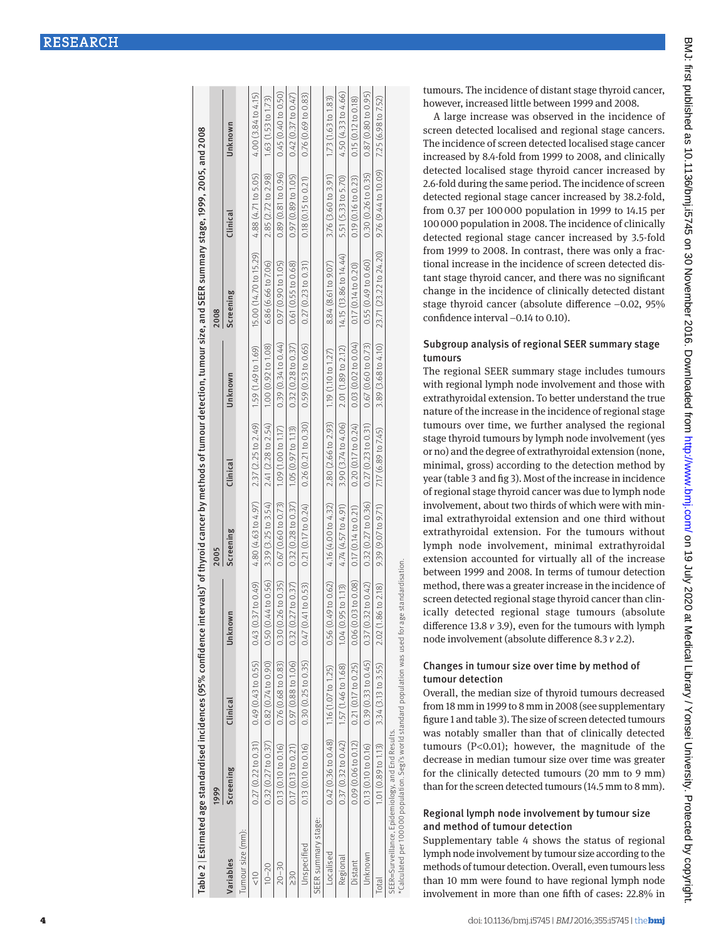| Table 2   Estimated age standardised incidences (95% confidence i |                                           |                       |                         |                                           |                           |                     | ntervals)* of thyroid cancer by methods of tumour detection, tumour size, and SEER summary stage, 1999, 2005, and 2008 |                                          |                        |
|-------------------------------------------------------------------|-------------------------------------------|-----------------------|-------------------------|-------------------------------------------|---------------------------|---------------------|------------------------------------------------------------------------------------------------------------------------|------------------------------------------|------------------------|
|                                                                   | 1999                                      |                       |                         | 2005                                      |                           |                     | 2008                                                                                                                   |                                          |                        |
| Variables                                                         | Screening                                 | Clinical              | Unknown                 | Screening                                 | Clinical                  | Unknown             | Screening                                                                                                              | Clinical                                 | Unknown                |
| Tumour size (mm):                                                 |                                           |                       |                         |                                           |                           |                     |                                                                                                                        |                                          |                        |
| $rac{10}{5}$                                                      | $0.27(0.22 \text{ to } 0.31)$             | $0.49$ (0.43 to 0.55) | 0.43(0.37 to 0.49)      | 4.80 (4.63 to 4.97)                       | 2.37 (2.25 to 2.49)       | 1.59 (1.49 to 1.69) | 15.00 (14.70 to 15.29)                                                                                                 | 4.88 (4.71 to 5.05)                      | 4.00 (3.84 to 4.15)    |
| $10 - 20$                                                         | 0.32(0.27 to 0.37)                        | 0.82 (0.74 to 0.90)   | 0.50(0.44 to 0.56)      | 3.39 (3.25 to 3.54)                       | 2.41 (2.28 to 2.54)       | 1.00 (0.92 to 1.08) | 6.86 (6.66 to 7.06)                                                                                                    | 2.85 (2.72 to 2.98)                      | 1.63 (1.53 to 1.73)    |
| $20 - 30$                                                         | $0.13$ $(0.10$ to $0.16)$                 | 0.76(0.68 to 0.83)    | 0.30(0.26 to 0.35)      | $0.67$ (0.60 to 0.73) 1.09 (1.00 to 1.17) |                           | 0.39(0.34 to 0.44)  | 0.97 (0.90 to 1.05)                                                                                                    | 0.89(0.81 to 0.96)                       | 0.45 (0.40 to 0.50)    |
| $\geq 30$                                                         | $0.17$ (0.13 to 0.21)                     | 0.97(0.88 t0 1.06)    | 0.32(0.27 to 0.37)      | 0.32(0.28 to 0.37)                        | 1.05(0.97 to 1.13)        | 0.32(0.28 to 0.37)  | 0.61 (0.55 to 0.68)                                                                                                    | 0.97(0.89 t01.05)                        | $0.42$ (0.37 to 0.47)  |
| Unspecified                                                       | 0.13 (0.10 to 0.16)                       | 0.30(0.25 to 0.35)    | 0.47(0.41 to 0.53)      | 0.21 (0.17 to 0.24)                       | $0.26$ $(0.21$ to $0.30)$ | 0.59(0.53 to 0.65)  | 0.27(0.23 to 0.31)                                                                                                     | $0.18$ (0.15 to 0.21)                    | 0.76 (0.69 to 0.83)    |
| SEER summary stage:                                               |                                           |                       |                         |                                           |                           |                     |                                                                                                                        |                                          |                        |
| Localised                                                         | $0.42$ (0.36 to 0.48) 1.16 (1.07 to 1.25) |                       | 0.56(0.49 to 0.62)      | 4.16 (4.00 to 4.32)                       | 2.80 (2.66 to 2.93)       | 1.19 (1.10 to 1.27) | 8.84 (8.61 to 9.07)                                                                                                    | 3.76 (3.60 to 3.91)                      | 1.73 (1.63 to 1.83)    |
| Regional                                                          | 0.37(0.32 to 0.42)                        | 1.57 (1.46 to 1.68)   | 1.04(0.95 to 1.13)      | 4.74 (4.57 to 4.91)                       | 3.90 (3.74 to 4.06)       | 2.01 (1.89 to 2.12) | 14.15 (13.86 to 14.44)                                                                                                 | 5.51 (5.33 to 5.70)                      | 4.50 (4.33 to 4.66)    |
| Distant                                                           | $0.09$ (0.06 to 0.12)                     | $0.21$ (0.17 to 0.25) | 0.06 (0.03 to 0.08)     | 0.17 (0.14 to 0.21)                       | 0.20(0.17 to 0.24)        | 0.03(0.02 to 0.04)  | 0.17 (0.14 to 0.20)                                                                                                    | $0.19$ (0.16 to 0.23)                    | 0.15 (0.12 to 0.18)    |
| Unknown                                                           | 0.13 (0.10 to 0.16)                       | 0.39(0.33 to 0.45)    | $0.37(0.32)$ to $0.42)$ | 0.32(0.27 to 0.36)                        | 0.27(0.23 to 0.31)        | 0.67(0.60 to 0.73)  | 0.55(0.49 to 0.60)                                                                                                     | 0.30(0.26 to 0.35)                       | $0.87(0.80)$ to $0.95$ |
| Total                                                             | 1.01 (0.89 to 1.13)                       | 3.34 (3.13 to 3.55)   | 2.02 (1.86 to 2.18)     | 9.39 (9.07 to 9.71)                       | 7.17 (6.89 to 7.45)       | 3.89 (3.68 to 4.10) | 23.71 (23.22 to 24.20)                                                                                                 | 9.76 (9.44 to 10.09) 7.25 (6.98 to 7.52) |                        |
| しししく                                                              | $\frac{1}{1}$                             |                       |                         |                                           |                           |                     |                                                                                                                        |                                          |                        |

SEER=Surveillance, Epidemiology, and End Results.<br>\*Calculated per 100 000 population. Segi's world standard population was used for age standardisation. \*Calculated per 100000 population. Segi's world standard population was used for age standardisation. SEER=Surveillance, Epidemiology, and End Results.

tumours. The incidence of distant stage thyroid cancer, however, increased little between 1999 and 2008.

A large increase was observed in the incidence of screen detected localised and regional stage cancers. The incidence of screen detected localised stage cancer increased by 8.4-fold from 1999 to 2008, and clinically detected localised stage thyroid cancer increased by 2.6-fold during the same period. The incidence of screen detected regional stage cancer increased by 38.2-fold, from 0.37 per 100000 population in 1999 to 14.15 per 100000 population in 2008. The incidence of clinically detected regional stage cancer increased by 3.5-fold from 1999 to 2008. In contrast, there was only a frac tional increase in the incidence of screen detected dis tant stage thyroid cancer, and there was no significant change in the incidence of clinically detected distant stage thyroid cancer (absolute difference -0.02, 95% confidence interval -0.14 to 0.10).

#### Subgroup analysis of regional SEER summary stage tumours

The regional SEER summary stage includes tumours with regional lymph node involvement and those with extrathyroidal extension. To better understand the true nature of the increase in the incidence of regional stage tumours over time, we further analysed the regional stage thyroid tumours by lymph node involvement (yes or no) and the degree of extrathyroidal extension (none, minimal, gross) according to the detection method by year (table 3 and fig 3). Most of the increase in incidence of regional stage thyroid cancer was due to lymph node involvement, about two thirds of which were with minimal extrathyroidal extension and one third without extrathyroidal extension. For the tumours without lymph node involvement, minimal extrathyroidal extension accounted for virtually all of the increase between 1999 and 2008. In terms of tumour detection method, there was a greater increase in the incidence of screen detected regional stage thyroid cancer than clin ically detected regional stage tumours (absolute difference 13.8 *v* 3.9), even for the tumours with lymph node involvement (absolute difference 8.3 *v* 2.2).

## Changes in tumour size over time by method of tumour detection

Overall, the median size of thyroid tumours decreased from 18 mm in 1999 to 8 mm in 2008 (see supplementary figure 1 and table 3). The size of screen detected tumours was notably smaller than that of clinically detected tumours (P <0.01); however, the magnitude of the decrease in median tumour size over time was greater for the clinically detected tumours (20 mm to 9 mm) than for the screen detected tumours (14.5 mm to 8 mm).

## Regional lymph node involvement by tumour size and method of tumour detection

Supplementary table 4 shows the status of regional lymph node involvement by tumour size according to the methods of tumour detection. Overall, even tumours less than 10 mm were found to have regional lymph node involvement in more than one fifth of cases: 22.8% in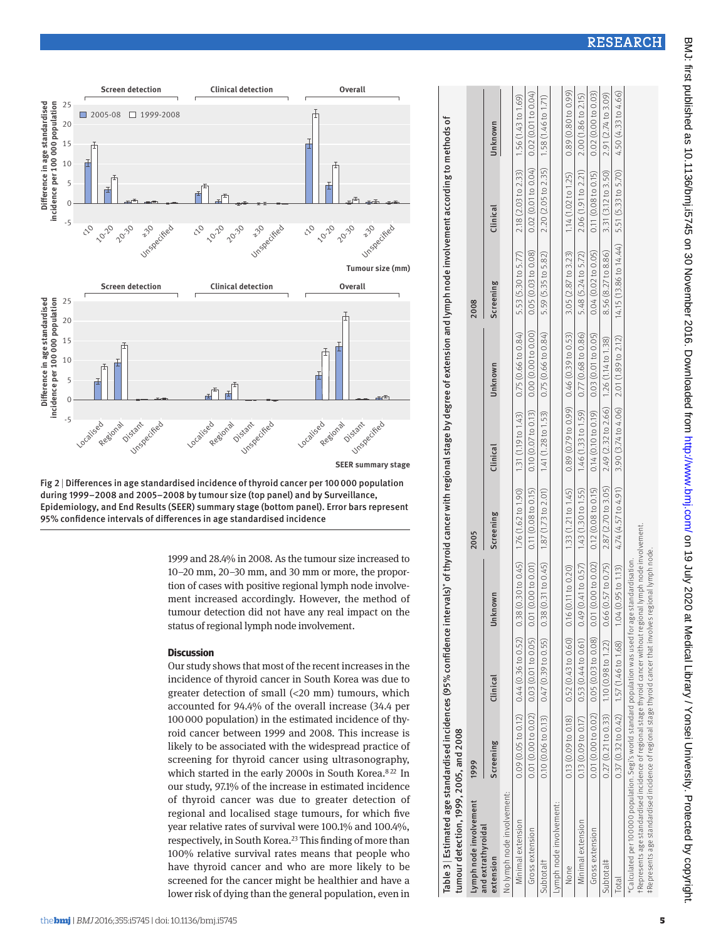4.50 (4.33 to 4.66)

 $\widehat{O}$ 33 to 5.7 Ë 5.51

14.44)

 $86<sup>10</sup>$ í.

14.15

 $(1.89 to 2.12)$ 

 $2.01$ 

 $(3.74 to 4.06)$ 



during 1999–2008 and 2005–2008 by tumour size (top panel) and by Surveillance, Epidemiology, and End Results (SEER) summary stage (bottom panel). Error bars represent 95% confidence intervals of differences in age standardised incidence

**Dierence in age standardised**

Difference in age standardised

**Dierence in age standardised**

Difference in age standardised

1999 and 28.4% in 2008. As the tumour size increased to 10–20 mm, 20–30 mm, and 30 mm or more, the proportion of cases with positive regional lymph node involvement increased accordingly. However, the method of tumour detection did not have any real impact on the status of regional lymph node involvement.

#### **Discussion**

Our study shows that most of the recent increases in the incidence of thyroid cancer in South Korea was due to greater detection of small (<20 mm) tumours, which accounted for 94.4% of the overall increase (34.4 per 100000 population) in the estimated incidence of thyroid cancer between 1999 and 2008. This increase is likely to be associated with the widespread practice of screening for thyroid cancer using ultrasonography, which started in the early 2000s in South Korea.<sup>822</sup> In our study, 97.1% of the increase in estimated incidence of thyroid cancer was due to greater detection of regional and localised stage tumours, for which five year relative rates of survival were 100.1% and 100.4%, respectively, in South Korea.23 This finding of more than 100% relative survival rates means that people who have thyroid cancer and who are more likely to be screened for the cancer might be healthier and have a lower risk of dying than the general population, even in

| Table 3   Estimated age standardised incidences (95% confidence intervals)' of thyroid cancer with regional stage by degree of extension and lymph node involvement according to methods of<br>tumour detection, 1999, 2005, and 2008 |           |          |         |           |          |                                                                                                                           |                                                                                                                                                                                             |          |         |
|---------------------------------------------------------------------------------------------------------------------------------------------------------------------------------------------------------------------------------------|-----------|----------|---------|-----------|----------|---------------------------------------------------------------------------------------------------------------------------|---------------------------------------------------------------------------------------------------------------------------------------------------------------------------------------------|----------|---------|
| Lymph node involvement                                                                                                                                                                                                                | 1999      |          |         | 2005      |          |                                                                                                                           | 2008                                                                                                                                                                                        |          |         |
| and extrathyroidal<br>extension                                                                                                                                                                                                       | Screening | Clinical | Unknown | Screening | Clinical | Unknown                                                                                                                   | Screening                                                                                                                                                                                   | Clinical | Unknown |
| No lymph node involvement:                                                                                                                                                                                                            |           |          |         |           |          |                                                                                                                           |                                                                                                                                                                                             |          |         |
| Minimal extension                                                                                                                                                                                                                     |           |          |         |           |          |                                                                                                                           | 0.09(0.05 to 0.12) 0.44 (0.36 to 0.52) 0.38 (0.30 to 0.45) 1.31 (1.19 to 1.43) 0.75 (0.66 to 0.84) 5.53 (5.30 to 5.77) 2.18 (2.03 to 2.73) 1.56 (1.43 to 1.69)                              |          |         |
| Gross extension                                                                                                                                                                                                                       |           |          |         |           |          |                                                                                                                           | 0.01 (0.00 to 0.02) 0.03 (0.01 to 0.05) 0.1 (0.00 to 0.01 0.08 to 0.15) 0.10 (0.07 to 0.03) 0.05 (0.03 to 0.08) 0.02 (0.01 to 0.04) 0.03 to 0.04) 0.01 to 0.04) 0.03 to 0.04) 0.01 to 0.04) |          |         |
| Subtotal <sup>†</sup>                                                                                                                                                                                                                 |           |          |         |           |          |                                                                                                                           | 0.10 (0.06 to 0.13) 0.47 (0.39 to 0.55) 0.38 (0.31 to 0.45) 1.47 (1.23 to 1.33) 0.75 (0.66 to 0.84) 5.99 (5.35 to 5.82) 2.20 (2.05 to 2.35) 1.58 (1.46 to 1.71)                             |          |         |
| Lymph node involvement:                                                                                                                                                                                                               |           |          |         |           |          |                                                                                                                           |                                                                                                                                                                                             |          |         |
| None                                                                                                                                                                                                                                  |           |          |         |           |          |                                                                                                                           |                                                                                                                                                                                             |          |         |
| Minimal extension                                                                                                                                                                                                                     |           |          |         |           |          |                                                                                                                           | 0.13 (0.44 to 0.61) 0.49 (0.41 to 0.57) 1.43 (1.30 to 1.55) 1.46 (1.33 to 1.59) 0.77 (0.68 to 0.86) 5.48 (5.24 to 5.72) 2.06 (1.91 to 2.21) 2.00 (1.86 to 2.15)                             |          |         |
| Gross extension                                                                                                                                                                                                                       |           |          |         |           |          |                                                                                                                           | 0.01 (0.00 to 0.02) 0.05 (0.03 to 0.03) 0.03 (0.00 to 0.03 (0.08 to 0.15) 0.14 (0.10 to 0.05) 0.04 (0.02 to 0.05) 0.11 (0.08 to 0.15) 0.02 to 0.03) 0.03 (0.00 to 0.03)                     |          |         |
| Subtotal#                                                                                                                                                                                                                             |           |          |         |           |          | $0.27$ (0.21 to 0.33) 1.10 (0.98 to 1.22) 0.66 (0.57 to 0.75) 2.87 (2.70 to 3.05) 2.49 (2.32 to 2.66) 1.26 (1.14 to 1.38) | 8.56 (8.27 to 8.86) 3.31 (3.12 to 3.50) 2.91 (2.74 to 3.09)                                                                                                                                 |          |         |

regional stage thyroid cancer without regional lymph node involvement †Represents age standardised incidence of regional stage thyroid cancer without regional lymph node involvement. ‡Represents age standardised incidence of regional stage thyroid cancer that involves regional lymph node. Segi's world standard population was used for age standardisation. \*Calculated per 100000 population. Segi's world standard population was used for age standardisation. fRepresents age standardised incidence of \*Calculated per 100000 population.

Total 0.37 (0.32 to 0.42) 1.57 (1.46 to 1.68) 1.04 (0.95 to 1.13) 4.74 (4.57 to 4.91) 3.90 (3.74 to 4.06) 2.01 (1.89 to 2.12) 14.15 (13.86 to 14.44) 5.51 (5.33 to 5.70) 4.50 (4.33 to 4.66)

4.74 (4.57 to 4.91)

1.04 (0.95 to 1.13)

1.57 (1.46 to 1.68)

 $0.37(0.32 to 0.42)$ 

Total

 $3.901$ 

BMJ: first published as 10.1136/bmj.i5745 on 30 November 2016. Downloaded from http://www.bmj.com/ on 19 July 2020 at Medical Library / Yonsei University. Protected by copyright BMJ: first published as 10.1136/bmj.6745 on 30 November 2016. Downloaded from <http://www.bmj.com/> 9 July 2020 at Medical Library / Yonsei University. Protected by copyright.

r Represents age standardised incidence of regional stage thyroid cancer that involves regional lymph node.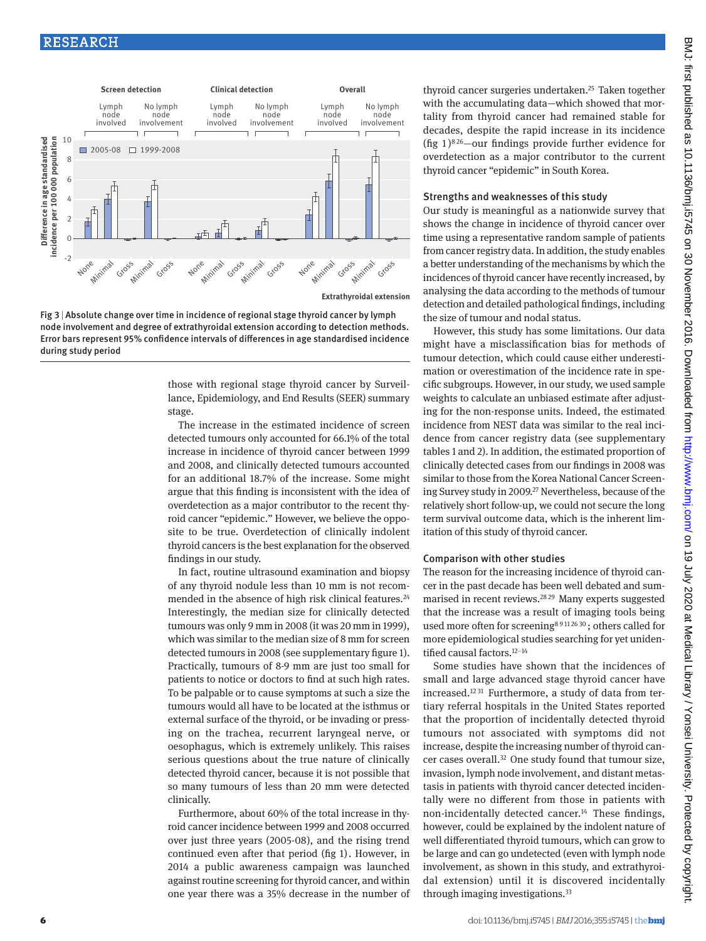

Fig 3 | Absolute change over time in incidence of regional stage thyroid cancer by lymph node involvement and degree of extrathyroidal extension according to detection methods. Error bars represent 95% confidence intervals of differences in age standardised incidence during study period

those with regional stage thyroid cancer by Surveillance, Epidemiology, and End Results (SEER) summary stage.

The increase in the estimated incidence of screen detected tumours only accounted for 66.1% of the total increase in incidence of thyroid cancer between 1999 and 2008, and clinically detected tumours accounted for an additional 18.7% of the increase. Some might argue that this finding is inconsistent with the idea of overdetection as a major contributor to the recent thyroid cancer "epidemic." However, we believe the opposite to be true. Overdetection of clinically indolent thyroid cancers is the best explanation for the observed findings in our study.

In fact, routine ultrasound examination and biopsy of any thyroid nodule less than 10 mm is not recommended in the absence of high risk clinical features.<sup>24</sup> Interestingly, the median size for clinically detected tumours was only 9 mm in 2008 (it was 20 mm in 1999), which was similar to the median size of 8 mm for screen detected tumours in 2008 (see supplementary figure 1). Practically, tumours of 8-9 mm are just too small for patients to notice or doctors to find at such high rates. To be palpable or to cause symptoms at such a size the tumours would all have to be located at the isthmus or external surface of the thyroid, or be invading or pressing on the trachea, recurrent laryngeal nerve, or oesophagus, which is extremely unlikely. This raises serious questions about the true nature of clinically detected thyroid cancer, because it is not possible that so many tumours of less than 20 mm were detected clinically.

Furthermore, about 60% of the total increase in thyroid cancer incidence between 1999 and 2008 occurred over just three years (2005-08), and the rising trend continued even after that period (fig 1). However, in 2014 a public awareness campaign was launched against routine screening for thyroid cancer, and within one year there was a 35% decrease in the number of thyroid cancer surgeries undertaken.25 Taken together with the accumulating data—which showed that mortality from thyroid cancer had remained stable for decades, despite the rapid increase in its incidence (fig  $1$ )<sup>826</sup>—our findings provide further evidence for overdetection as a major contributor to the current thyroid cancer "epidemic" in South Korea.

#### Strengths and weaknesses of this study

Our study is meaningful as a nationwide survey that shows the change in incidence of thyroid cancer over time using a representative random sample of patients from cancer registry data. In addition, the study enables a better understanding of the mechanisms by which the incidences of thyroid cancer have recently increased, by analysing the data according to the methods of tumour detection and detailed pathological findings, including the size of tumour and nodal status.

However, this study has some limitations. Our data might have a misclassification bias for methods of tumour detection, which could cause either underestimation or overestimation of the incidence rate in specific subgroups. However, in our study, we used sample weights to calculate an unbiased estimate after adjusting for the non-response units. Indeed, the estimated incidence from NEST data was similar to the real incidence from cancer registry data (see supplementary tables 1 and 2). In addition, the estimated proportion of clinically detected cases from our findings in 2008 was similar to those from the Korea National Cancer Screening Survey study in 2009.<sup>27</sup> Nevertheless, because of the relatively short follow-up, we could not secure the long term survival outcome data, which is the inherent limitation of this study of thyroid cancer.

#### Comparison with other studies

The reason for the increasing incidence of thyroid cancer in the past decade has been well debated and summarised in recent reviews.28 29 Many experts suggested that the increase was a result of imaging tools being used more often for screening<sup>8 9 11 26 30</sup>; others called for more epidemiological studies searching for yet unidentified causal factors.<sup>12-14</sup>

Some studies have shown that the incidences of small and large advanced stage thyroid cancer have increased.<sup>1231</sup> Furthermore, a study of data from tertiary referral hospitals in the United States reported that the proportion of incidentally detected thyroid tumours not associated with symptoms did not increase, despite the increasing number of thyroid cancer cases overall.32 One study found that tumour size, invasion, lymph node involvement, and distant metastasis in patients with thyroid cancer detected incidentally were no different from those in patients with non-incidentally detected cancer.14 These findings, however, could be explained by the indolent nature of well differentiated thyroid tumours, which can grow to be large and can go undetected (even with lymph node involvement, as shown in this study, and extrathyroidal extension) until it is discovered incidentally through imaging investigations.33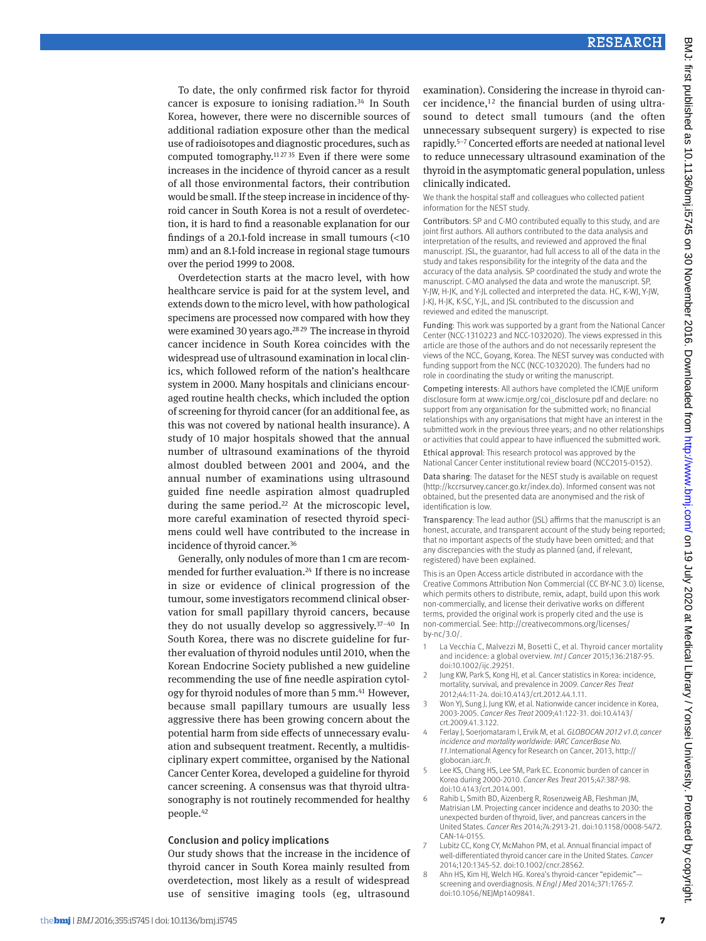To date, the only confirmed risk factor for thyroid cancer is exposure to ionising radiation.34 In South Korea, however, there were no discernible sources of additional radiation exposure other than the medical use of radioisotopes and diagnostic procedures, such as computed tomography.<sup>11 27 35</sup> Even if there were some increases in the incidence of thyroid cancer as a result of all those environmental factors, their contribution would be small. If the steep increase in incidence of thyroid cancer in South Korea is not a result of overdetection, it is hard to find a reasonable explanation for our findings of a 20.1-fold increase in small tumours (<10 mm) and an 8.1-fold increase in regional stage tumours over the period 1999 to 2008.

Overdetection starts at the macro level, with how healthcare service is paid for at the system level, and extends down to the micro level, with how pathological specimens are processed now compared with how they were examined 30 years ago.<sup>28 29</sup> The increase in thyroid cancer incidence in South Korea coincides with the widespread use of ultrasound examination in local clinics, which followed reform of the nation's healthcare system in 2000. Many hospitals and clinicians encouraged routine health checks, which included the option of screening for thyroid cancer (for an additional fee, as this was not covered by national health insurance). A study of 10 major hospitals showed that the annual number of ultrasound examinations of the thyroid almost doubled between 2001 and 2004, and the annual number of examinations using ultrasound guided fine needle aspiration almost quadrupled during the same period. $22$  At the microscopic level, more careful examination of resected thyroid specimens could well have contributed to the increase in incidence of thyroid cancer.36

Generally, only nodules of more than 1 cm are recommended for further evaluation.24 If there is no increase in size or evidence of clinical progression of the tumour, some investigators recommend clinical observation for small papillary thyroid cancers, because they do not usually develop so aggressively.37–40 In South Korea, there was no discrete guideline for further evaluation of thyroid nodules until 2010, when the Korean Endocrine Society published a new guideline recommending the use of fine needle aspiration cytology for thyroid nodules of more than 5 mm.<sup>41</sup> However, because small papillary tumours are usually less aggressive there has been growing concern about the potential harm from side effects of unnecessary evaluation and subsequent treatment. Recently, a multidisciplinary expert committee, organised by the National Cancer Center Korea, developed a guideline for thyroid cancer screening. A consensus was that thyroid ultrasonography is not routinely recommended for healthy people.42

#### Conclusion and policy implications

Our study shows that the increase in the incidence of thyroid cancer in South Korea mainly resulted from overdetection, most likely as a result of widespread use of sensitive imaging tools (eg, ultrasound examination). Considering the increase in thyroid cancer incidence, $12$  the financial burden of using ultrasound to detect small tumours (and the often unnecessary subsequent surgery) is expected to rise rapidly.5–7 Concerted efforts are needed at national level to reduce unnecessary ultrasound examination of the thyroid in the asymptomatic general population, unless clinically indicated.

We thank the hospital staff and colleagues who collected patient information for the NEST study.

Contributors: SP and C-MO contributed equally to this study, and are joint first authors. All authors contributed to the data analysis and interpretation of the results, and reviewed and approved the final manuscript. JSL, the guarantor, had full access to all of the data in the study and takes responsibility for the integrity of the data and the accuracy of the data analysis. SP coordinated the study and wrote the manuscript. C-MO analysed the data and wrote the manuscript. SP, Y-JW, H-JK, and Y-JL collected and interpreted the data. HC, K-WJ, Y-JW, J-KJ, H-JK, K-SC, Y-JL, and JSL contributed to the discussion and reviewed and edited the manuscript.

Funding: This work was supported by a grant from the National Cancer Center (NCC-1310223 and NCC-1032020). The views expressed in this article are those of the authors and do not necessarily represent the views of the NCC, Goyang, Korea. The NEST survey was conducted with funding support from the NCC (NCC-1032020). The funders had no role in coordinating the study or writing the manuscript.

Competing interests: All authors have completed the ICMJE uniform disclosure form at www.icmje.org/coi\_disclosure.pdf and declare: no support from any organisation for the submitted work; no financial relationships with any organisations that might have an interest in the submitted work in the previous three years; and no other relationships or activities that could appear to have influenced the submitted work.

Ethical approval: This research protocol was approved by the National Cancer Center institutional review board (NCC2015-0152).

Data sharing: The dataset for the NEST study is available on request (http://kccrsurvey.cancer.go.kr/index.do). Informed consent was not obtained, but the presented data are anonymised and the risk of identification is low.

Transparency: The lead author (JSL) affirms that the manuscript is an honest, accurate, and transparent account of the study being reported; that no important aspects of the study have been omitted; and that any discrepancies with the study as planned (and, if relevant, registered) have been explained.

This is an Open Access article distributed in accordance with the Creative Commons Attribution Non Commercial (CC BY-NC 3.0) license, which permits others to distribute, remix, adapt, build upon this work non-commercially, and license their derivative works on different terms, provided the original work is properly cited and the use is non-commercial. See: http://creativecommons.org/licenses/ by-nc/3.0/.

- 1 La Vecchia C, Malvezzi M, Bosetti C, et al. Thyroid cancer mortality and incidence: a global overview. *Int J Cancer* 2015;136:2187-95. doi:10.1002/ijc.29251.
- Jung KW, Park S, Kong HJ, et al. Cancer statistics in Korea: incidence, mortality, survival, and prevalence in 2009. *Cancer Res Treat* 2012;44:11-24. doi:10.4143/crt.2012.44.1.11.
- Won YJ, Sung J, Jung KW, et al. Nationwide cancer incidence in Korea, 2003-2005. *Cancer Res Treat* 2009;41:122-31. doi:10.4143/ crt.2009.41.3.122.
- 4 Ferlay J, Soerjomataram I, Ervik M, et al. *GLOBOCAN 2012 v1.0, cancer incidence and mortality worldwide: IARC CancerBase No. 11.*International Agency for Research on Cancer, 2013, http:// globocan.iarc.fr.
- Lee KS, Chang HS, Lee SM, Park EC. Economic burden of cancer in Korea during 2000-2010. *Cancer Res Treat* 2015;47:387-98. doi:10.4143/crt.2014.001.
- Rahib L, Smith BD, Aizenberg R, Rosenzweig AB, Fleshman JM, Matrisian LM. Projecting cancer incidence and deaths to 2030: the unexpected burden of thyroid, liver, and pancreas cancers in the United States. *Cancer Res* 2014;74:2913-21. doi:10.1158/0008-5472. CAN-14-0155.
- Lubitz CC, Kong CY, McMahon PM, et al. Annual financial impact of well-differentiated thyroid cancer care in the United States. *Cancer* 2014;120:1345-52. doi:10.1002/cncr.28562.
- 8 Ahn HS, Kim HJ, Welch HG. Korea's thyroid-cancer "epidemic" screening and overdiagnosis. *N Engl J Med* 2014;371:1765-7. doi:10.1056/NEJMp1409841.